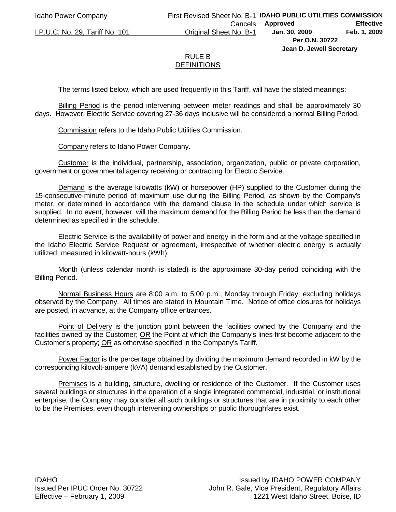**Jean D. Jewell Secretary** 

## RULE B **DEFINITIONS**

The terms listed below, which are used frequently in this Tariff, will have the stated meanings:

Billing Period is the period intervening between meter readings and shall be approximately 30 days. However, Electric Service covering 27-36 days inclusive will be considered a normal Billing Period.

Commission refers to the Idaho Public Utilities Commission.

Company refers to Idaho Power Company.

Customer is the individual, partnership, association, organization, public or private corporation, government or governmental agency receiving or contracting for Electric Service.

Demand is the average kilowatts (kW) or horsepower (HP) supplied to the Customer during the 15-consecutive-minute period of maximum use during the Billing Period, as shown by the Company's meter, or determined in accordance with the demand clause in the schedule under which service is supplied. In no event, however, will the maximum demand for the Billing Period be less than the demand determined as specified in the schedule.

Electric Service is the availability of power and energy in the form and at the voltage specified in the Idaho Electric Service Request or agreement, irrespective of whether electric energy is actually utilized, measured in kilowatt-hours (kWh).

Month (unless calendar month is stated) is the approximate 30-day period coinciding with the Billing Period.

Normal Business Hours are 8:00 a.m. to 5:00 p.m., Monday through Friday, excluding holidays observed by the Company. All times are stated in Mountain Time. Notice of office closures for holidays are posted, in advance, at the Company office entrances.

Point of Delivery is the junction point between the facilities owned by the Company and the facilities owned by the Customer; OR the Point at which the Company's lines first become adjacent to the Customer's property; OR as otherwise specified in the Company's Tariff.

Power Factor is the percentage obtained by dividing the maximum demand recorded in kW by the corresponding kilovolt-ampere (kVA) demand established by the Customer.

Premises is a building, structure, dwelling or residence of the Customer. If the Customer uses several buildings or structures in the operation of a single integrated commercial, industrial, or institutional enterprise, the Company may consider all such buildings or structures that are in proximity to each other to be the Premises, even though intervening ownerships or public thoroughfares exist.